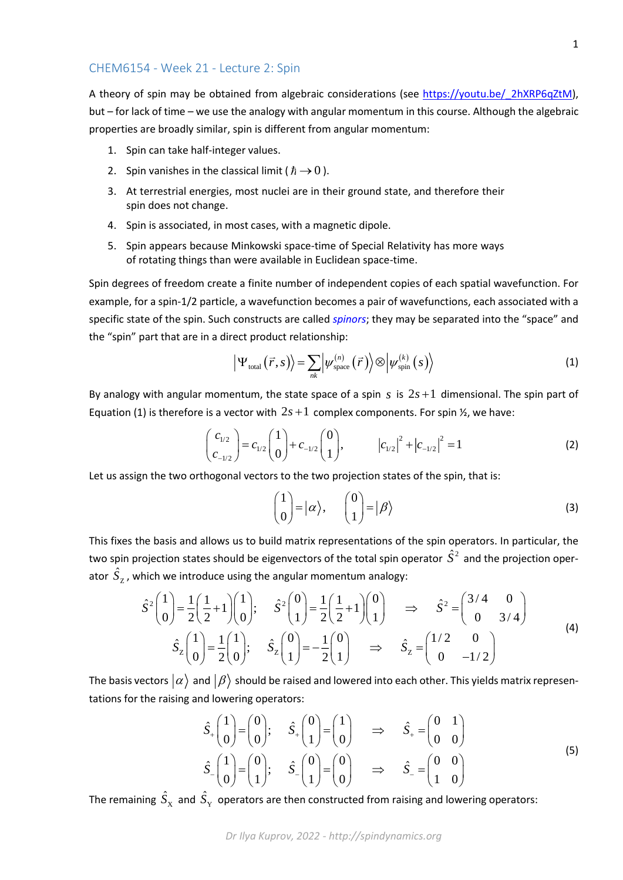A theory of spin may be obtained from algebraic considerations (see https://youtu.be/ 2hXRP6qZtM), but – for lack of time – we use the analogy with angular momentum in this course. Although the algebraic properties are broadly similar, spin is different from angular momentum:

- 1. Spin can take half-integer values.
- 2. Spin vanishes in the classical limit ( $\hbar \rightarrow 0$ ).
- 3. At terrestrial energies, most nuclei are in their ground state, and therefore their spin does not change.
- 4. Spin is associated, in most cases, with a magnetic dipole.
- 5. Spin appears because Minkowski space-time of Special Relativity has more ways of rotating things than were available in Euclidean space-time.

Spin degrees of freedom create a finite number of independent copies of each spatial wavefunction. For example, for a spin-1/2 particle, a wavefunction becomes a pair of wavefunctions, each associated with a specific state of the spin. Such constructs are called *spinors*; they may be separated into the "space" and the "spin" part that are in a direct product relationship:

$$
\left| \Psi_{\text{total}}\left(\vec{r},s\right) \right\rangle = \sum_{nk} \left| \psi_{\text{space}}^{(n)}\left(\vec{r}\right) \right\rangle \otimes \left| \psi_{\text{spin}}^{(k)}\left(s\right) \right\rangle \tag{1}
$$

By analogy with angular momentum, the state space of a spin  $s$  is  $2s+1$  dimensional. The spin part of Equation (1) is therefore is a vector with  $2s+1$  complex components. For spin  $\frac{1}{2}$ , we have:

$$
\begin{pmatrix} c_{1/2} \\ c_{-1/2} \end{pmatrix} = c_{1/2} \begin{pmatrix} 1 \\ 0 \end{pmatrix} + c_{-1/2} \begin{pmatrix} 0 \\ 1 \end{pmatrix}, \qquad |c_{1/2}|^2 + |c_{-1/2}|^2 = 1 \qquad (2)
$$

Let us assign the two orthogonal vectors to the two projection states of the spin, that is:

$$
\begin{pmatrix} 1 \\ 0 \end{pmatrix} = |\alpha\rangle, \qquad \begin{pmatrix} 0 \\ 1 \end{pmatrix} = |\beta\rangle
$$
 (3)

This fixes the basis and allows us to build matrix representations of the spin operators. In particular, the two spin projection states should be eigenvectors of the total spin operator  $\hat{S}^2$  and the projection operator  $S_{\rm z}$  $\hat{S}_{\mathrm{z}}$  , which we introduce using the angular momentum analogy:

$$
\hat{S}^{2}\begin{pmatrix} 1 \\ 0 \end{pmatrix} = \frac{1}{2} \begin{pmatrix} 1 \\ 2 \end{pmatrix} + 1 \begin{pmatrix} 1 \\ 0 \end{pmatrix}; \quad \hat{S}^{2}\begin{pmatrix} 0 \\ 1 \end{pmatrix} = \frac{1}{2} \begin{pmatrix} 1 \\ 2 \end{pmatrix} + 1 \begin{pmatrix} 0 \\ 1 \end{pmatrix} \implies \hat{S}^{2} = \begin{pmatrix} 3/4 & 0 \\ 0 & 3/4 \end{pmatrix}
$$
\n
$$
\hat{S}_{z}\begin{pmatrix} 1 \\ 0 \end{pmatrix} = \frac{1}{2} \begin{pmatrix} 1 \\ 0 \end{pmatrix}; \quad \hat{S}_{z}\begin{pmatrix} 0 \\ 1 \end{pmatrix} = -\frac{1}{2} \begin{pmatrix} 0 \\ 1 \end{pmatrix} \implies \hat{S}_{z} = \begin{pmatrix} 1/2 & 0 \\ 0 & -1/2 \end{pmatrix}
$$
\n(4)

The basis vectors  $\ket{\alpha}$  and  $\ket{\beta}$  should be raised and lowered into each other. This yields matrix representations for the raising and lowering operators:

$$
\hat{S}_{+}\begin{pmatrix} 1 \\ 0 \end{pmatrix} = \begin{pmatrix} 0 \\ 0 \end{pmatrix}; \quad \hat{S}_{+}\begin{pmatrix} 0 \\ 1 \end{pmatrix} = \begin{pmatrix} 1 \\ 0 \end{pmatrix} \Rightarrow \quad \hat{S}_{+} = \begin{pmatrix} 0 & 1 \\ 0 & 0 \end{pmatrix}
$$
\n
$$
\hat{S}_{-}\begin{pmatrix} 1 \\ 0 \end{pmatrix} = \begin{pmatrix} 0 \\ 1 \end{pmatrix}; \quad \hat{S}_{-}\begin{pmatrix} 0 \\ 1 \end{pmatrix} = \begin{pmatrix} 0 \\ 0 \end{pmatrix} \Rightarrow \quad \hat{S}_{-} = \begin{pmatrix} 0 & 0 \\ 1 & 0 \end{pmatrix}
$$
\n(5)

The remaining  $S_{\text{X}}$  $\hat{S}_\mathrm{\textbf{x}}^{\phantom{\dag}}$  and  $\hat{S}_\mathrm{\textbf{y}}^{\phantom{\dag}}$  $\hat{S}_{_{\rm Y}}$  operators are then constructed from raising and lowering operators: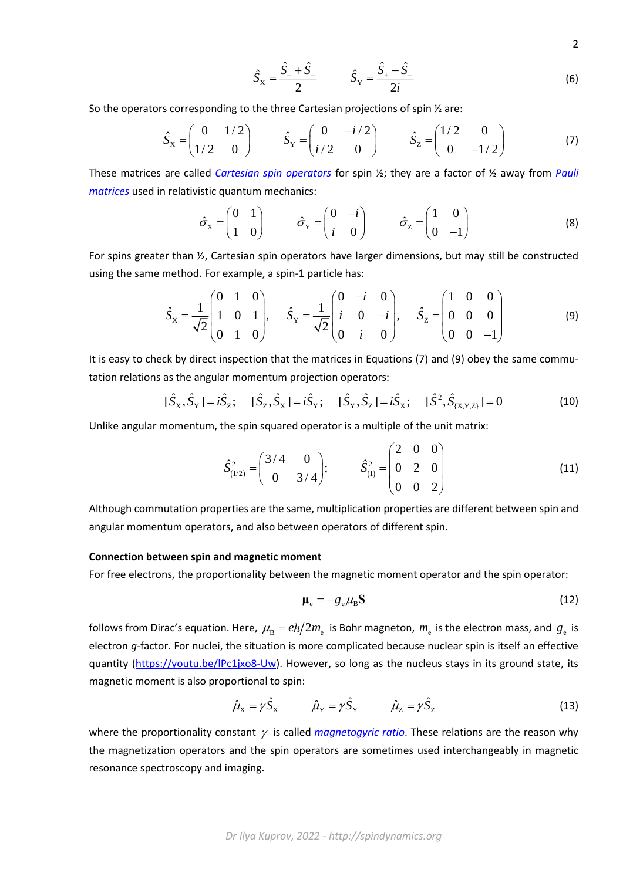2

*Dr Ilya Kuprov, 2022 - http://spindynamics.org*

$$
\hat{S}_{\rm X} = \frac{\hat{S}_{+} + \hat{S}_{-}}{2} \qquad \qquad \hat{S}_{\rm Y} = \frac{\hat{S}_{+} - \hat{S}_{-}}{2i} \tag{6}
$$

So the operators corresponding to the three Cartesian projections of spin ½ are:

$$
\hat{S}_x = \begin{pmatrix} 0 & 1/2 \\ 1/2 & 0 \end{pmatrix} \qquad \hat{S}_y = \begin{pmatrix} 0 & -i/2 \\ i/2 & 0 \end{pmatrix} \qquad \hat{S}_z = \begin{pmatrix} 1/2 & 0 \\ 0 & -1/2 \end{pmatrix}
$$
 (7)

These matrices are called *Cartesian spin operators* for spin ½; they are a factor of ½ away from *Pauli matrices* used in relativistic quantum mechanics:

$$
\hat{\sigma}_x = \begin{pmatrix} 0 & 1 \\ 1 & 0 \end{pmatrix} \qquad \hat{\sigma}_y = \begin{pmatrix} 0 & -i \\ i & 0 \end{pmatrix} \qquad \hat{\sigma}_z = \begin{pmatrix} 1 & 0 \\ 0 & -1 \end{pmatrix}
$$
 (8)

For spins greater than ½, Cartesian spin operators have larger dimensions, but may still be constructed using the same method. For example, a spin-1 particle has:

$$
\hat{S}_x = \frac{1}{\sqrt{2}} \begin{pmatrix} 0 & 1 & 0 \\ 1 & 0 & 1 \\ 0 & 1 & 0 \end{pmatrix}, \quad \hat{S}_y = \frac{1}{\sqrt{2}} \begin{pmatrix} 0 & -i & 0 \\ i & 0 & -i \\ 0 & i & 0 \end{pmatrix}, \quad \hat{S}_z = \begin{pmatrix} 1 & 0 & 0 \\ 0 & 0 & 0 \\ 0 & 0 & -1 \end{pmatrix}
$$
(9)

It is easy to check by direct inspection that the matrices in Equations (7) and (9) obey the same commutation relations as the angular momentum projection operators:

$$
[\hat{S}_X, \hat{S}_Y] = i\hat{S}_Z; \quad [\hat{S}_Z, \hat{S}_X] = i\hat{S}_Y; \quad [\hat{S}_Y, \hat{S}_Z] = i\hat{S}_X; \quad [\hat{S}^2, \hat{S}_{(X,Y,Z)}] = 0 \tag{10}
$$

Unlike angular momentum, the spin squared operator is a multiple of the unit matrix:

$$
\hat{S}_{(1/2)}^2 = \begin{pmatrix} 3/4 & 0 \\ 0 & 3/4 \end{pmatrix}; \qquad \hat{S}_{(1)}^2 = \begin{pmatrix} 2 & 0 & 0 \\ 0 & 2 & 0 \\ 0 & 0 & 2 \end{pmatrix}
$$
 (11)

Although commutation properties are the same, multiplication properties are different between spin and angular momentum operators, and also between operators of different spin.

## **Connection between spin and magnetic moment**

For free electrons, the proportionality between the magnetic moment operator and the spin operator:

$$
\mu_{\rm e} = -g_{\rm e} \mu_{\rm B} S \tag{12}
$$

follows from Dirac's equation. Here,  $\mu_{\rm B}=e\hbar/2m_{\rm e}$  is Bohr magneton,  $m_{\rm e}$  is the electron mass, and  $g_{\rm e}$  is electron *g*-factor. For nuclei, the situation is more complicated because nuclear spin is itself an effective quantity [\(https://youtu.be/lPc1jxo8-Uw\)](https://youtu.be/lPc1jxo8-Uw). However, so long as the nucleus stays in its ground state, its magnetic moment is also proportional to spin:

$$
\hat{\mu}_X = \gamma \hat{S}_X \qquad \hat{\mu}_Y = \gamma \hat{S}_Y \qquad \hat{\mu}_Z = \gamma \hat{S}_Z \qquad (13)
$$

where the proportionality constant  $\gamma$  is called *magnetogyric ratio*. These relations are the reason why the magnetization operators and the spin operators are sometimes used interchangeably in magnetic resonance spectroscopy and imaging.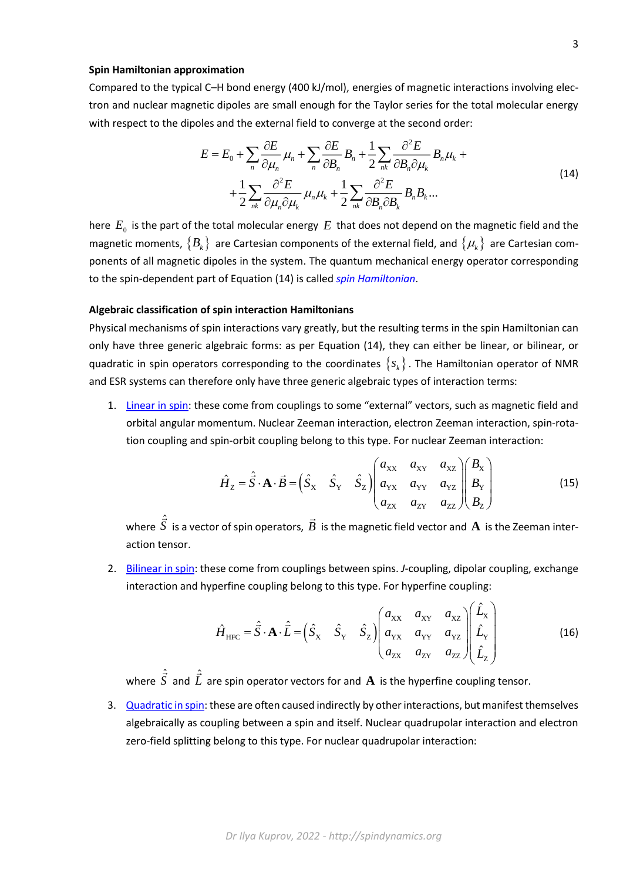## **Spin Hamiltonian approximation**

Compared to the typical C–H bond energy (400 kJ/mol), energies of magnetic interactions involving electron and nuclear magnetic dipoles are small enough for the Taylor series for the total molecular energy with respect to the dipoles and the external field to converge at the second order:

$$
E = E_0 + \sum_n \frac{\partial E}{\partial \mu_n} \mu_n + \sum_n \frac{\partial E}{\partial B_n} B_n + \frac{1}{2} \sum_{nk} \frac{\partial^2 E}{\partial B_n \partial \mu_k} B_n \mu_k + \frac{1}{2} \sum_{nk} \frac{\partial^2 E}{\partial \mu_n \partial \mu_k} \mu_n \mu_k + \frac{1}{2} \sum_{nk} \frac{\partial^2 E}{\partial B_n \partial B_k} B_n B_k \dots
$$
\n(14)

here  $\,E_{0}\,$  is the part of the total molecular energy  $\,E\,$  that does not depend on the magnetic field and the magnetic moments,  $\{B_k\}$  are Cartesian components of the external field, and  $\{\mu_k\}$  are Cartesian components of all magnetic dipoles in the system. The quantum mechanical energy operator corresponding to the spin-dependent part of Equation (14) is called *spin Hamiltonian*.

## **Algebraic classification of spin interaction Hamiltonians**

Physical mechanisms of spin interactions vary greatly, but the resulting terms in the spin Hamiltonian can only have three generic algebraic forms: as per Equation (14), they can either be linear, or bilinear, or quadratic in spin operators corresponding to the coordinates  $\{s_k\}$ . The Hamiltonian operator of NMR and ESR systems can therefore only have three generic algebraic types of interaction terms:

1. Linear in spin: these come from couplings to some "external" vectors, such as magnetic field and orbital angular momentum. Nuclear Zeeman interaction, electron Zeeman interaction, spin-rotation coupling and spin-orbit coupling belong to this type. For nuclear Zeeman interaction:

$$
\hat{H}_z = \hat{\vec{S}} \cdot \mathbf{A} \cdot \vec{B} = \begin{pmatrix} \hat{S}_x & \hat{S}_y & \hat{S}_z \end{pmatrix} \begin{pmatrix} a_{xx} & a_{xx} & a_{xz} \\ a_{yx} & a_{yy} & a_{yz} \\ a_{zx} & a_{zy} & a_{zz} \end{pmatrix} \begin{pmatrix} B_x \\ B_y \\ B_z \end{pmatrix}
$$
(15)

where  $\hat{\vec{S}}$  is a vector of spin operators,  $\vec{B}$  is the magnetic field vector and  ${\bf A}$  is the Zeeman interaction tensor.

2. Bilinear in spin: these come from couplings between spins. *J*-coupling, dipolar coupling, exchange interaction and hyperfine coupling belong to this type. For hyperfine coupling:

$$
\hat{H}_{\text{HFC}} = \hat{\vec{S}} \cdot \mathbf{A} \cdot \hat{\vec{L}} = \begin{pmatrix} \hat{S}_{\text{x}} & \hat{S}_{\text{y}} & \hat{S}_{\text{z}} \end{pmatrix} \begin{pmatrix} a_{\text{XX}} & a_{\text{XY}} & a_{\text{XZ}} \\ a_{\text{XX}} & a_{\text{YY}} & a_{\text{YZ}} \\ a_{\text{ZX}} & a_{\text{ZY}} & a_{\text{ZZ}} \end{pmatrix} \begin{pmatrix} \hat{L}_{\text{x}} \\ \hat{L}_{\text{y}} \\ \hat{L}_{\text{z}} \end{pmatrix} \tag{16}
$$

 $\sim$   $\sim$ 

where  $\hat{\vec{S}}$  and  $\hat{\vec{L}}$  are spin operator vectors for and  ${\bf A}$  is the hyperfine coupling tensor.

3. Quadratic in spin: these are often caused indirectly by other interactions, but manifest themselves algebraically as coupling between a spin and itself. Nuclear quadrupolar interaction and electron zero-field splitting belong to this type. For nuclear quadrupolar interaction: